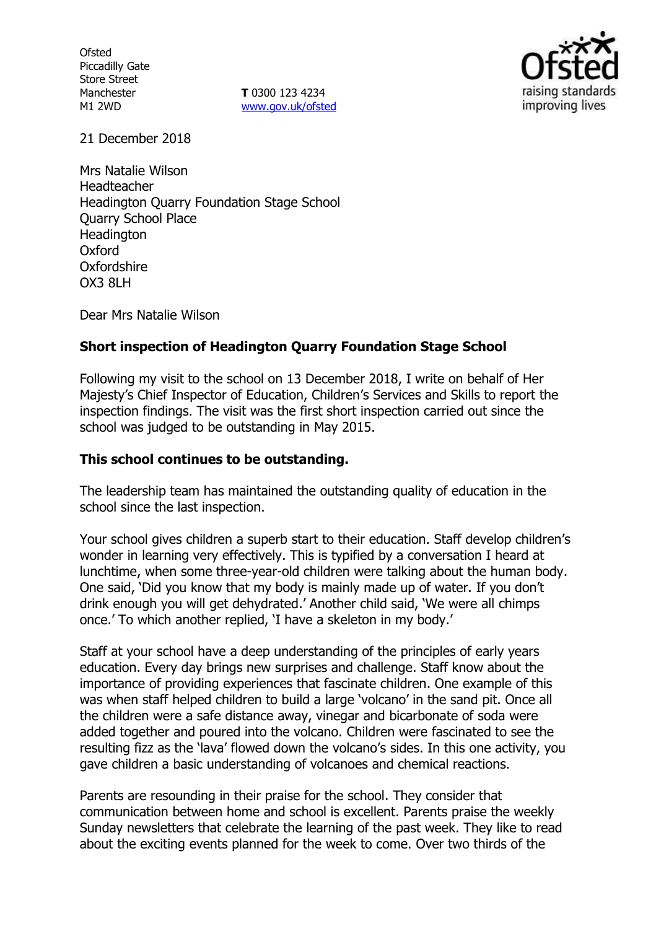**Ofsted** Piccadilly Gate Store Street Manchester M1 2WD

**T** 0300 123 4234 [www.gov.uk/ofsted](http://www.gov.uk/ofsted)



21 December 2018

Mrs Natalie Wilson Headteacher Headington Quarry Foundation Stage School Quarry School Place **Headington** Oxford **Oxfordshire** OX3 8LH

Dear Mrs Natalie Wilson

# **Short inspection of Headington Quarry Foundation Stage School**

Following my visit to the school on 13 December 2018, I write on behalf of Her Majesty's Chief Inspector of Education, Children's Services and Skills to report the inspection findings. The visit was the first short inspection carried out since the school was judged to be outstanding in May 2015.

### **This school continues to be outstanding.**

The leadership team has maintained the outstanding quality of education in the school since the last inspection.

Your school gives children a superb start to their education. Staff develop children's wonder in learning very effectively. This is typified by a conversation I heard at lunchtime, when some three-year-old children were talking about the human body. One said, 'Did you know that my body is mainly made up of water. If you don't drink enough you will get dehydrated.' Another child said, 'We were all chimps once.' To which another replied, 'I have a skeleton in my body.'

Staff at your school have a deep understanding of the principles of early years education. Every day brings new surprises and challenge. Staff know about the importance of providing experiences that fascinate children. One example of this was when staff helped children to build a large 'volcano' in the sand pit. Once all the children were a safe distance away, vinegar and bicarbonate of soda were added together and poured into the volcano. Children were fascinated to see the resulting fizz as the 'lava' flowed down the volcano's sides. In this one activity, you gave children a basic understanding of volcanoes and chemical reactions.

Parents are resounding in their praise for the school. They consider that communication between home and school is excellent. Parents praise the weekly Sunday newsletters that celebrate the learning of the past week. They like to read about the exciting events planned for the week to come. Over two thirds of the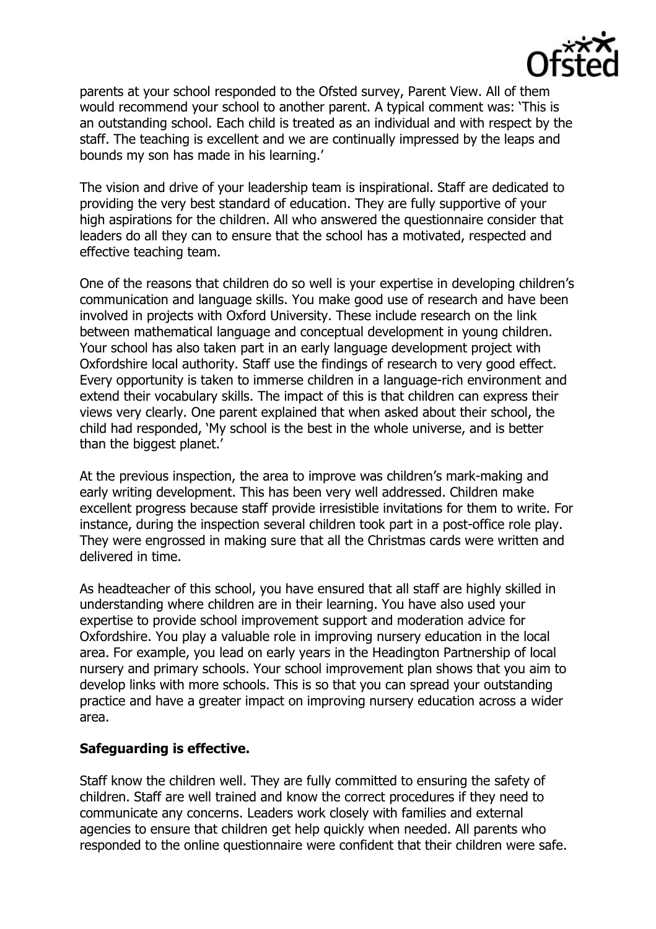

parents at your school responded to the Ofsted survey, Parent View. All of them would recommend your school to another parent. A typical comment was: 'This is an outstanding school. Each child is treated as an individual and with respect by the staff. The teaching is excellent and we are continually impressed by the leaps and bounds my son has made in his learning.'

The vision and drive of your leadership team is inspirational. Staff are dedicated to providing the very best standard of education. They are fully supportive of your high aspirations for the children. All who answered the questionnaire consider that leaders do all they can to ensure that the school has a motivated, respected and effective teaching team.

One of the reasons that children do so well is your expertise in developing children's communication and language skills. You make good use of research and have been involved in projects with Oxford University. These include research on the link between mathematical language and conceptual development in young children. Your school has also taken part in an early language development project with Oxfordshire local authority. Staff use the findings of research to very good effect. Every opportunity is taken to immerse children in a language-rich environment and extend their vocabulary skills. The impact of this is that children can express their views very clearly. One parent explained that when asked about their school, the child had responded, 'My school is the best in the whole universe, and is better than the biggest planet.'

At the previous inspection, the area to improve was children's mark-making and early writing development. This has been very well addressed. Children make excellent progress because staff provide irresistible invitations for them to write. For instance, during the inspection several children took part in a post-office role play. They were engrossed in making sure that all the Christmas cards were written and delivered in time.

As headteacher of this school, you have ensured that all staff are highly skilled in understanding where children are in their learning. You have also used your expertise to provide school improvement support and moderation advice for Oxfordshire. You play a valuable role in improving nursery education in the local area. For example, you lead on early years in the Headington Partnership of local nursery and primary schools. Your school improvement plan shows that you aim to develop links with more schools. This is so that you can spread your outstanding practice and have a greater impact on improving nursery education across a wider area.

### **Safeguarding is effective.**

Staff know the children well. They are fully committed to ensuring the safety of children. Staff are well trained and know the correct procedures if they need to communicate any concerns. Leaders work closely with families and external agencies to ensure that children get help quickly when needed. All parents who responded to the online questionnaire were confident that their children were safe.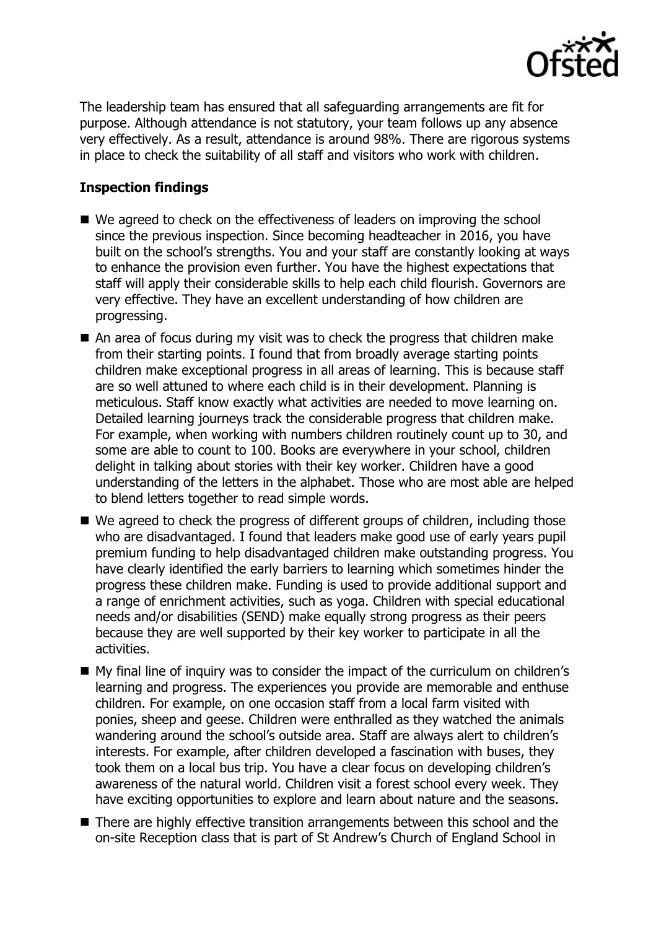

The leadership team has ensured that all safeguarding arrangements are fit for purpose. Although attendance is not statutory, your team follows up any absence very effectively. As a result, attendance is around 98%. There are rigorous systems in place to check the suitability of all staff and visitors who work with children.

# **Inspection findings**

- We agreed to check on the effectiveness of leaders on improving the school since the previous inspection. Since becoming headteacher in 2016, you have built on the school's strengths. You and your staff are constantly looking at ways to enhance the provision even further. You have the highest expectations that staff will apply their considerable skills to help each child flourish. Governors are very effective. They have an excellent understanding of how children are progressing.
- An area of focus during my visit was to check the progress that children make from their starting points. I found that from broadly average starting points children make exceptional progress in all areas of learning. This is because staff are so well attuned to where each child is in their development. Planning is meticulous. Staff know exactly what activities are needed to move learning on. Detailed learning journeys track the considerable progress that children make. For example, when working with numbers children routinely count up to 30, and some are able to count to 100. Books are everywhere in your school, children delight in talking about stories with their key worker. Children have a good understanding of the letters in the alphabet. Those who are most able are helped to blend letters together to read simple words.
- We agreed to check the progress of different groups of children, including those who are disadvantaged. I found that leaders make good use of early years pupil premium funding to help disadvantaged children make outstanding progress. You have clearly identified the early barriers to learning which sometimes hinder the progress these children make. Funding is used to provide additional support and a range of enrichment activities, such as yoga. Children with special educational needs and/or disabilities (SEND) make equally strong progress as their peers because they are well supported by their key worker to participate in all the activities.
- My final line of inquiry was to consider the impact of the curriculum on children's learning and progress. The experiences you provide are memorable and enthuse children. For example, on one occasion staff from a local farm visited with ponies, sheep and geese. Children were enthralled as they watched the animals wandering around the school's outside area. Staff are always alert to children's interests. For example, after children developed a fascination with buses, they took them on a local bus trip. You have a clear focus on developing children's awareness of the natural world. Children visit a forest school every week. They have exciting opportunities to explore and learn about nature and the seasons.
- There are highly effective transition arrangements between this school and the on-site Reception class that is part of St Andrew's Church of England School in